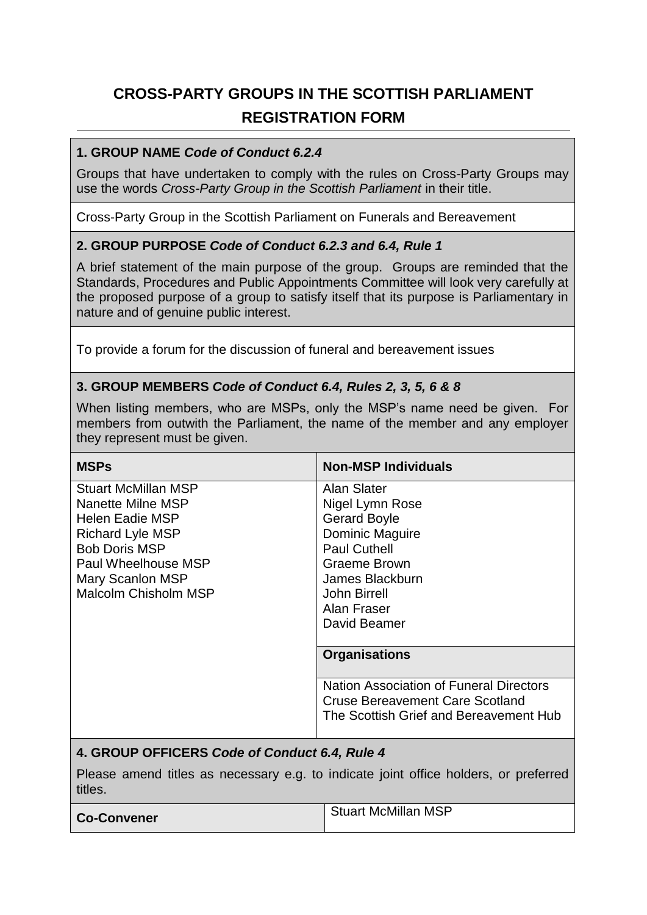# **CROSS-PARTY GROUPS IN THE SCOTTISH PARLIAMENT REGISTRATION FORM**

#### **1. GROUP NAME** *Code of Conduct 6.2.4*

Groups that have undertaken to comply with the rules on Cross-Party Groups may use the words *Cross-Party Group in the Scottish Parliament* in their title.

Cross-Party Group in the Scottish Parliament on Funerals and Bereavement

# **2. GROUP PURPOSE** *Code of Conduct 6.2.3 and 6.4, Rule 1*

A brief statement of the main purpose of the group. Groups are reminded that the Standards, Procedures and Public Appointments Committee will look very carefully at the proposed purpose of a group to satisfy itself that its purpose is Parliamentary in nature and of genuine public interest.

To provide a forum for the discussion of funeral and bereavement issues

# **3. GROUP MEMBERS** *Code of Conduct 6.4, Rules 2, 3, 5, 6 & 8*

When listing members, who are MSPs, only the MSP's name need be given. For members from outwith the Parliament, the name of the member and any employer they represent must be given.

| <b>MSPs</b>                 | <b>Non-MSP Individuals</b>                                                        |
|-----------------------------|-----------------------------------------------------------------------------------|
| <b>Stuart McMillan MSP</b>  | Alan Slater                                                                       |
| Nanette Milne MSP           | Nigel Lymn Rose                                                                   |
| Helen Eadie MSP             | <b>Gerard Boyle</b>                                                               |
| <b>Richard Lyle MSP</b>     | Dominic Maguire                                                                   |
| <b>Bob Doris MSP</b>        | <b>Paul Cuthell</b>                                                               |
| Paul Wheelhouse MSP         | <b>Graeme Brown</b>                                                               |
| Mary Scanlon MSP            | James Blackburn                                                                   |
| <b>Malcolm Chisholm MSP</b> | John Birrell                                                                      |
|                             | Alan Fraser                                                                       |
|                             | David Beamer                                                                      |
|                             |                                                                                   |
|                             | <b>Organisations</b>                                                              |
|                             | Nation Association of Funeral Directors<br><b>Cruse Bereavement Care Scotland</b> |
|                             | The Scottish Grief and Bereavement Hub                                            |
|                             |                                                                                   |

#### **4. GROUP OFFICERS** *Code of Conduct 6.4, Rule 4*

Please amend titles as necessary e.g. to indicate joint office holders, or preferred titles.

| <b>Co-Convener</b> | <b>Stuart McMillan MSP</b> |
|--------------------|----------------------------|
|--------------------|----------------------------|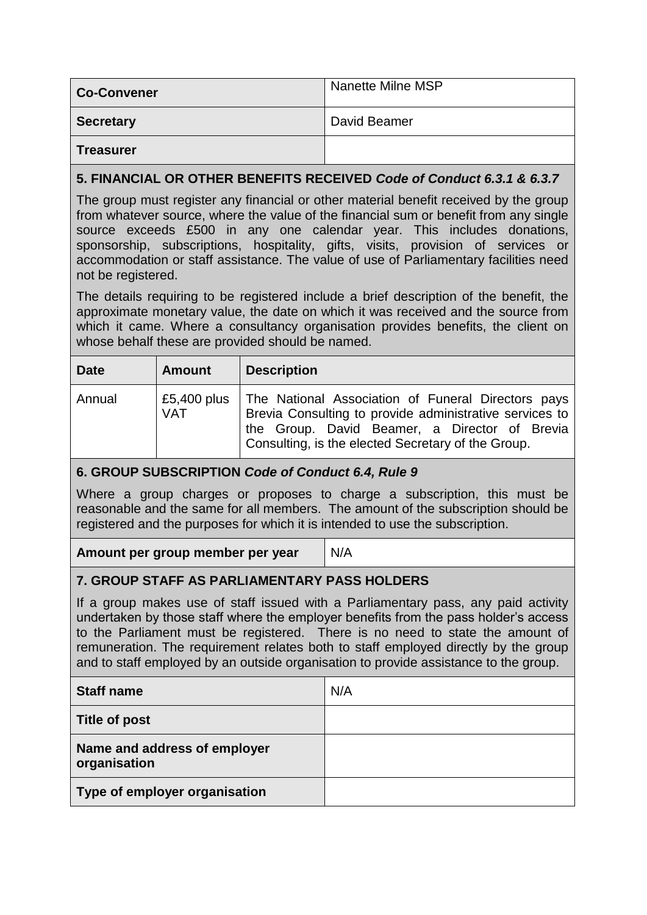| <b>Co-Convener</b> | <b>Nanette Milne MSP</b> |
|--------------------|--------------------------|
| <b>Secretary</b>   | David Beamer             |
| <b>Treasurer</b>   |                          |

# **5. FINANCIAL OR OTHER BENEFITS RECEIVED** *Code of Conduct 6.3.1 & 6.3.7*

The group must register any financial or other material benefit received by the group from whatever source, where the value of the financial sum or benefit from any single source exceeds £500 in any one calendar year. This includes donations, sponsorship, subscriptions, hospitality, gifts, visits, provision of services or accommodation or staff assistance. The value of use of Parliamentary facilities need not be registered.

The details requiring to be registered include a brief description of the benefit, the approximate monetary value, the date on which it was received and the source from which it came. Where a consultancy organisation provides benefits, the client on whose behalf these are provided should be named.

| <b>Date</b> | <b>Amount</b> | <b>Description</b>                                                                                                                                                                                                                 |
|-------------|---------------|------------------------------------------------------------------------------------------------------------------------------------------------------------------------------------------------------------------------------------|
| Annual      | <b>VAT</b>    | £5,400 plus   The National Association of Funeral Directors pays<br>Brevia Consulting to provide administrative services to<br>the Group. David Beamer, a Director of Brevia<br>Consulting, is the elected Secretary of the Group. |

# **6. GROUP SUBSCRIPTION** *Code of Conduct 6.4, Rule 9*

Where a group charges or proposes to charge a subscription, this must be reasonable and the same for all members. The amount of the subscription should be registered and the purposes for which it is intended to use the subscription.

**Amount per group member per year** N/A

# **7. GROUP STAFF AS PARLIAMENTARY PASS HOLDERS**

If a group makes use of staff issued with a Parliamentary pass, any paid activity undertaken by those staff where the employer benefits from the pass holder's access to the Parliament must be registered. There is no need to state the amount of remuneration. The requirement relates both to staff employed directly by the group and to staff employed by an outside organisation to provide assistance to the group.

| <b>Staff name</b>                            | N/A |
|----------------------------------------------|-----|
| Title of post                                |     |
| Name and address of employer<br>organisation |     |
| Type of employer organisation                |     |